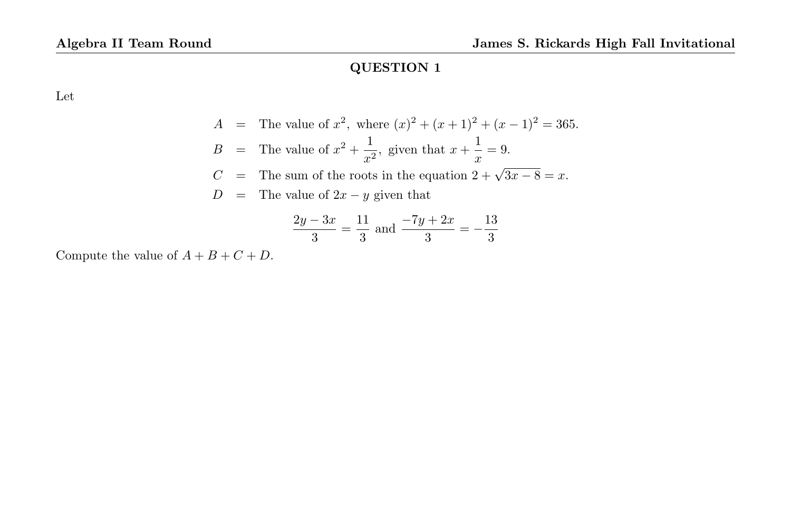Let

$$
A = \text{The value of } x^2, \text{ where } (x)^2 + (x+1)^2 + (x-1)^2 = 365.
$$
  
\n
$$
B = \text{The value of } x^2 + \frac{1}{x^2}, \text{ given that } x + \frac{1}{x} = 9.
$$
  
\n
$$
C = \text{The sum of the roots in the equation } 2 + \sqrt{3x - 8} = x.
$$
  
\n
$$
D = \text{The value of } 2x - y \text{ given that}
$$

$$
\frac{2y - 3x}{3} = \frac{11}{3}
$$
 and 
$$
\frac{-7y + 2x}{3} = -\frac{13}{3}
$$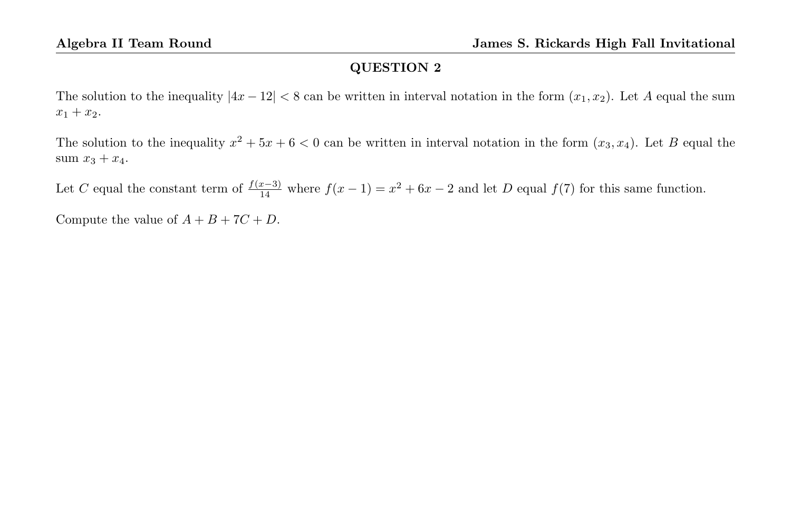The solution to the inequality  $|4x-12| < 8$  can be written in interval notation in the form  $(x_1, x_2)$ . Let A equal the sum  $x_1 + x_2$ .

The solution to the inequality  $x^2 + 5x + 6 < 0$  can be written in interval notation in the form  $(x_3, x_4)$ . Let B equal the sum  $x_3 + x_4$ .

Let C equal the constant term of  $\frac{f(x-3)}{14}$  where  $f(x-1) = x^2 + 6x - 2$  and let D equal  $f(7)$  for this same function.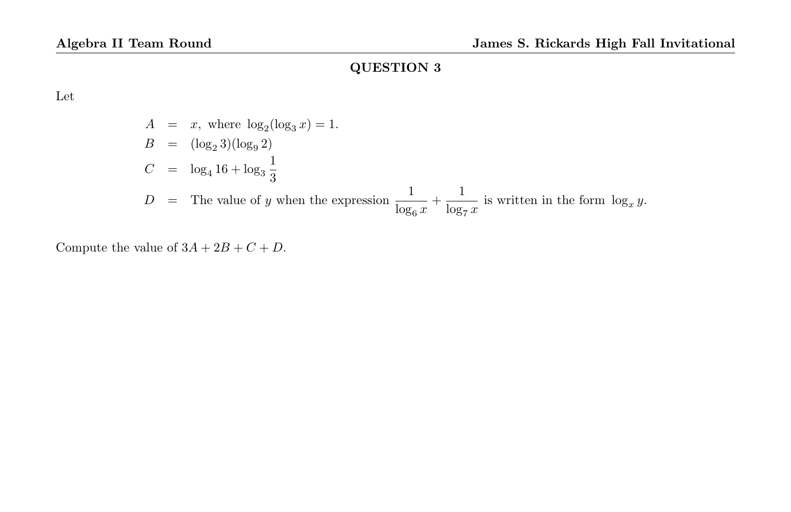Let

$$
A = x, \text{ where } \log_2(\log_3 x) = 1.
$$
  
\n
$$
B = (\log_2 3)(\log_9 2)
$$
  
\n
$$
C = \log_4 16 + \log_3 \frac{1}{3}
$$
  
\n
$$
D = \text{The value of } y \text{ when the expression } \frac{1}{\log_6 x} + \frac{1}{\log_7 x} \text{ is written in the form } \log_x y.
$$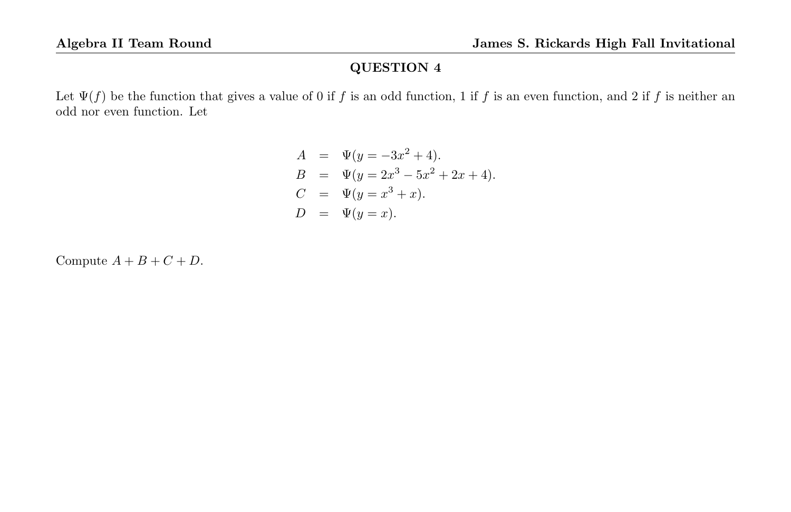Let  $\Psi(f)$  be the function that gives a value of 0 if f is an odd function, 1 if f is an even function, and 2 if f is neither an odd nor even function. Let

$$
A = \Psi(y = -3x^{2} + 4).
$$
  
\n
$$
B = \Psi(y = 2x^{3} - 5x^{2} + 2x + 4).
$$
  
\n
$$
C = \Psi(y = x^{3} + x).
$$
  
\n
$$
D = \Psi(y = x).
$$

Compute  $A + B + C + D$ .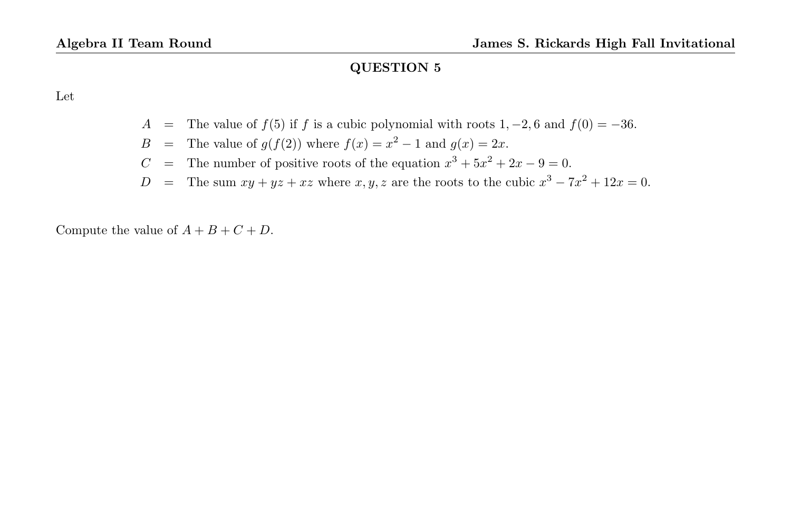Let

- A = The value of  $f(5)$  if f is a cubic polynomial with roots 1, -2, 6 and  $f(0) = -36$ .
- B = The value of  $g(f(2))$  where  $f(x) = x^2 1$  and  $g(x) = 2x$ .
- C = The number of positive roots of the equation  $x^3 + 5x^2 + 2x 9 = 0$ .
- D = The sum  $xy + yz + xz$  where  $x, y, z$  are the roots to the cubic  $x^3 7x^2 + 12x = 0$ .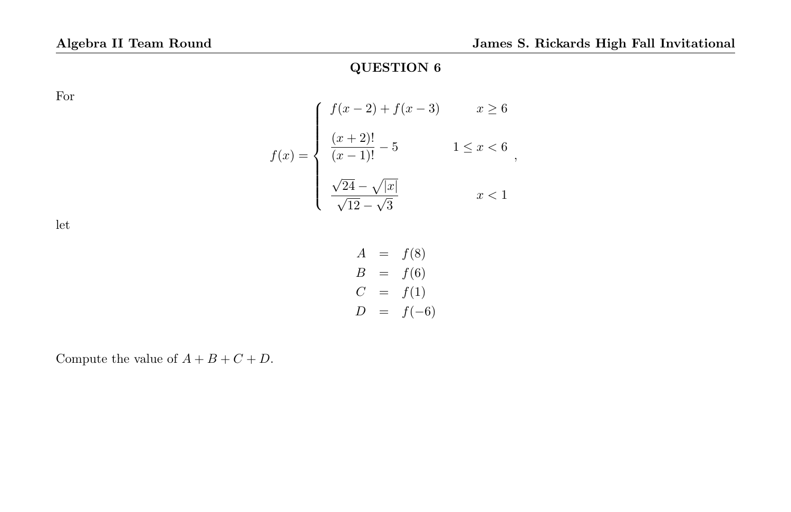For

$$
f(x) = \begin{cases} f(x-2) + f(x-3) & x \ge 6 \\ \frac{(x+2)!}{(x-1)!} - 5 & 1 \le x < 6 \\ \frac{\sqrt{24} - \sqrt{|x|}}{\sqrt{12} - \sqrt{3}} & x < 1 \end{cases}
$$

let

$$
A = f(8) \n B = f(6) \n C = f(1) \n D = f(-6)
$$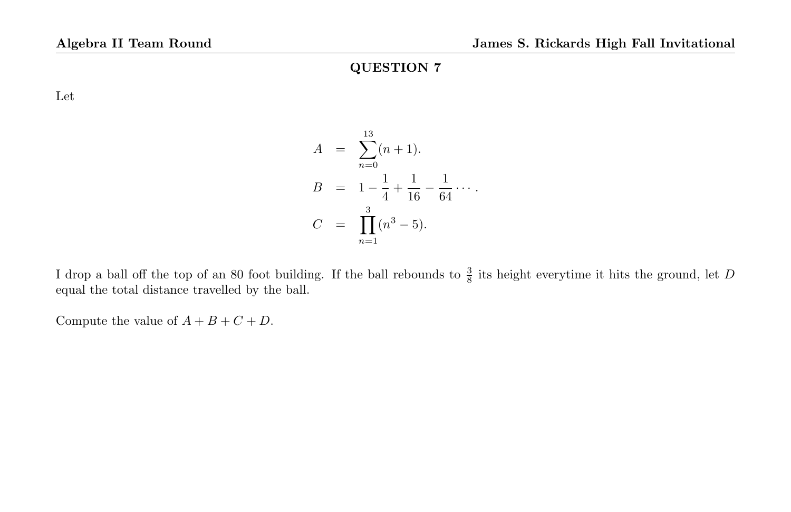Let

$$
A = \sum_{n=0}^{13} (n+1).
$$
  
\n
$$
B = 1 - \frac{1}{4} + \frac{1}{16} - \frac{1}{64} \cdots.
$$
  
\n
$$
C = \prod_{n=1}^{3} (n^3 - 5).
$$

I drop a ball off the top of an 80 foot building. If the ball rebounds to  $\frac{3}{8}$  its height everytime it hits the ground, let D equal the total distance travelled by the ball.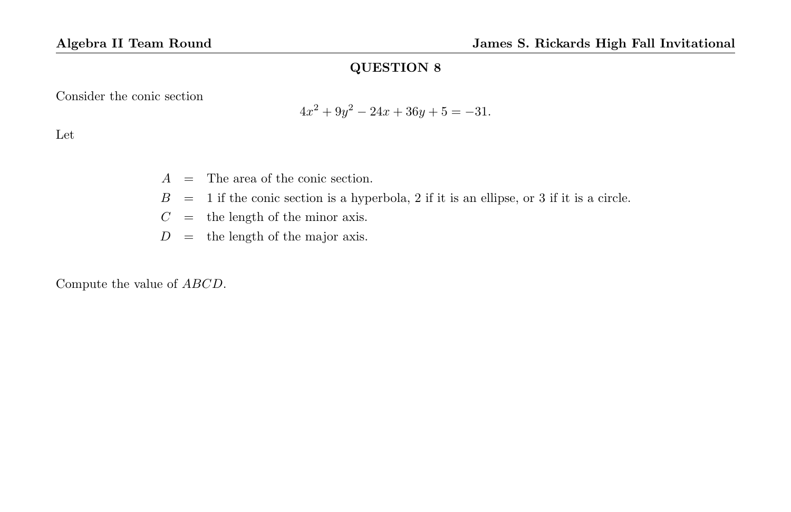Consider the conic section

$$
4x^2 + 9y^2 - 24x + 36y + 5 = -31.
$$

Let

 $A =$ The area of the conic section.

- $B = 1$  if the conic section is a hyperbola, 2 if it is an ellipse, or 3 if it is a circle.
- $C =$  the length of the minor axis.
- $D =$  the length of the major axis.

Compute the value of ABCD.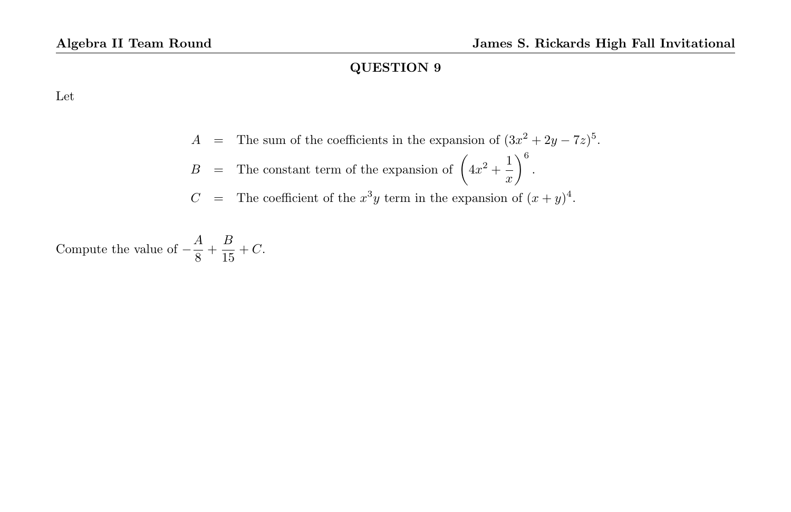Let

$$
A = \text{The sum of the coefficients in the expansion of } (3x^2 + 2y - 7z)^5.
$$
  

$$
B = \text{The constant term of the expansion of } \left(4x^2 + \frac{1}{x}\right)^6.
$$

$$
C
$$
 = The coefficient of the  $x^3y$  term in the expansion of  $(x + y)^4$ .

Compute the value of  $-\frac{A}{2}$  $\frac{A}{8} + \frac{B}{15}$  $\frac{1}{15} + C$ .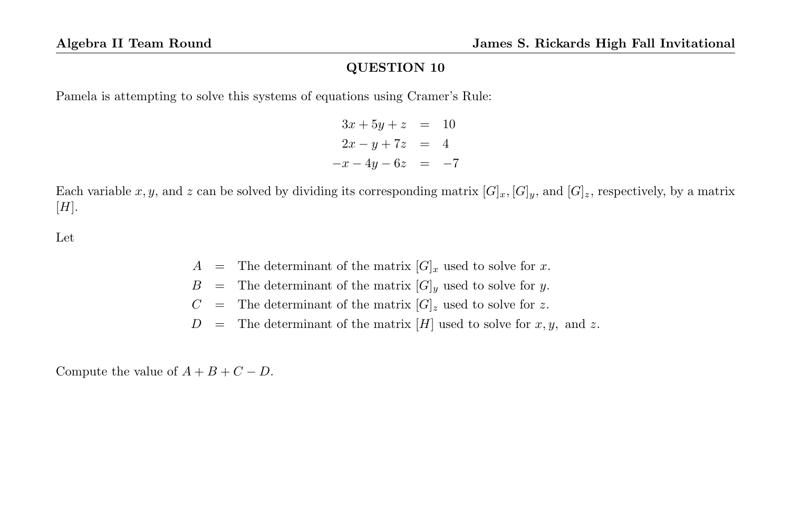Pamela is attempting to solve this systems of equations using Cramer's Rule:

```
3x + 5y + z = 102x - y + 7z = 4-x-4y-6z = -7
```
Each variable x, y, and z can be solved by dividing its corresponding matrix  $[G]_x$ ,  $[G]_y$ , and  $[G]_z$ , respectively, by a matrix  $[H]$ .

Let

- $A =$  The determinant of the matrix  $[G]_x$  used to solve for x.
- $B =$  The determinant of the matrix  $[G]_y$  used to solve for y.
- $C =$  The determinant of the matrix  $[G]_z$  used to solve for z.
- $D =$  The determinant of the matrix [H] used to solve for x, y, and z.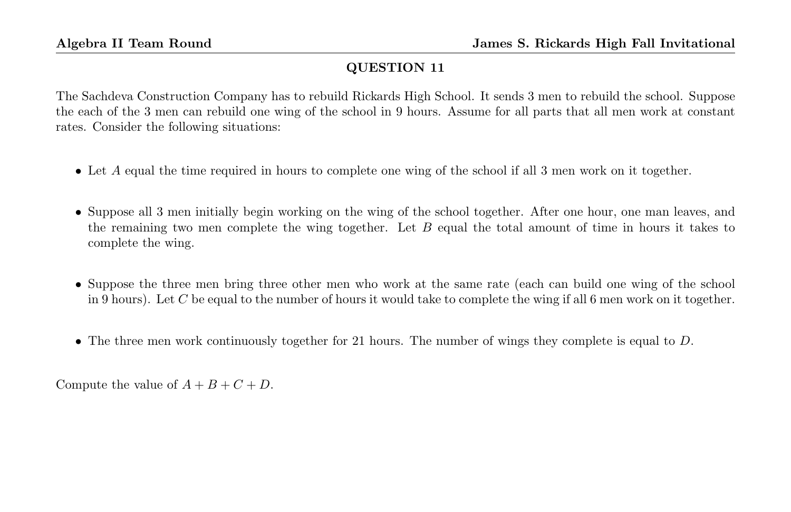The Sachdeva Construction Company has to rebuild Rickards High School. It sends 3 men to rebuild the school. Suppose the each of the 3 men can rebuild one wing of the school in 9 hours. Assume for all parts that all men work at constant rates. Consider the following situations:

- Let A equal the time required in hours to complete one wing of the school if all 3 men work on it together.
- Suppose all 3 men initially begin working on the wing of the school together. After one hour, one man leaves, and the remaining two men complete the wing together. Let  $B$  equal the total amount of time in hours it takes to complete the wing.
- Suppose the three men bring three other men who work at the same rate (each can build one wing of the school in 9 hours). Let C be equal to the number of hours it would take to complete the wing if all 6 men work on it together.
- The three men work continuously together for 21 hours. The number of wings they complete is equal to  $D$ .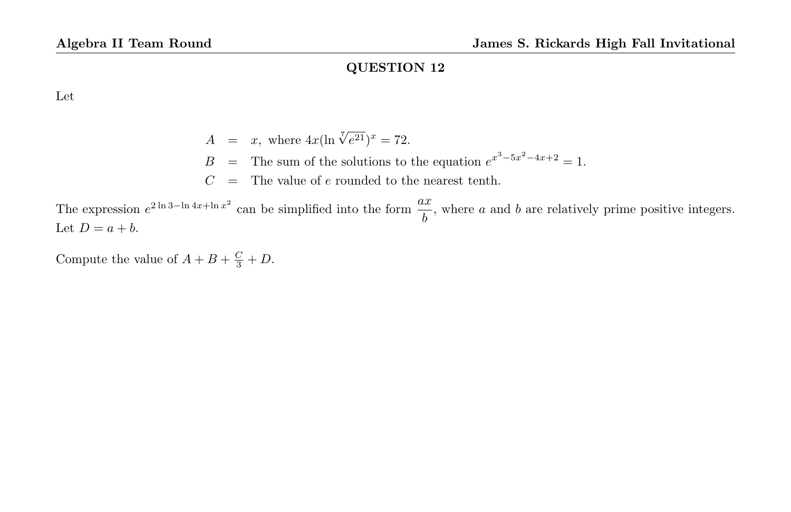Let

 $A = x$ , where  $4x(\ln \sqrt[7]{e^{21}})^x = 72$ .  $B =$  The sum of the solutions to the equation  $e^{x^3-5x^2-4x+2} = 1$ .  $C =$  The value of  $e$  rounded to the nearest tenth.

The expression  $e^{2 \ln 3 - \ln 4x + \ln x^2}$  can be simplified into the form  $\frac{ax}{b}$ , where a and b are relatively prime positive integers. Let  $D = a + b$ .

Compute the value of  $A + B + \frac{C}{3} + D$ .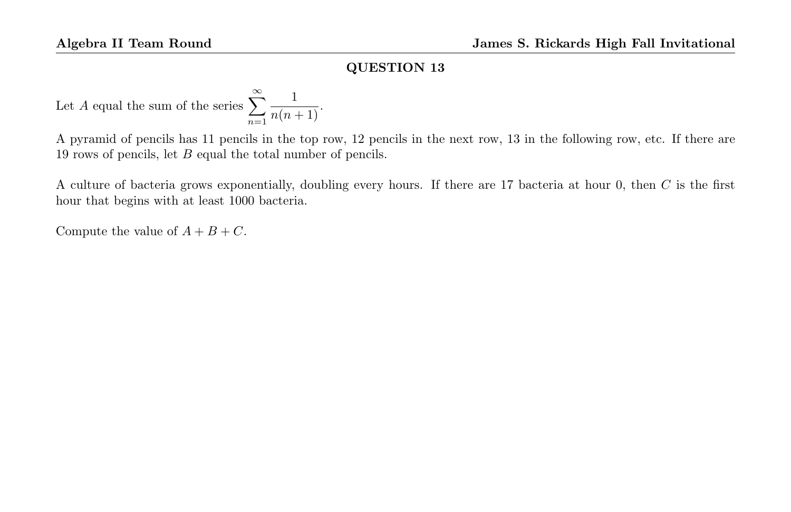Let A equal the sum of the series  $\sum_{n=1}^{\infty}$  $n=1$  $\frac{1}{n(n+1)}$ 

A pyramid of pencils has 11 pencils in the top row, 12 pencils in the next row, 13 in the following row, etc. If there are 19 rows of pencils, let B equal the total number of pencils.

A culture of bacteria grows exponentially, doubling every hours. If there are 17 bacteria at hour 0, then C is the first hour that begins with at least 1000 bacteria.